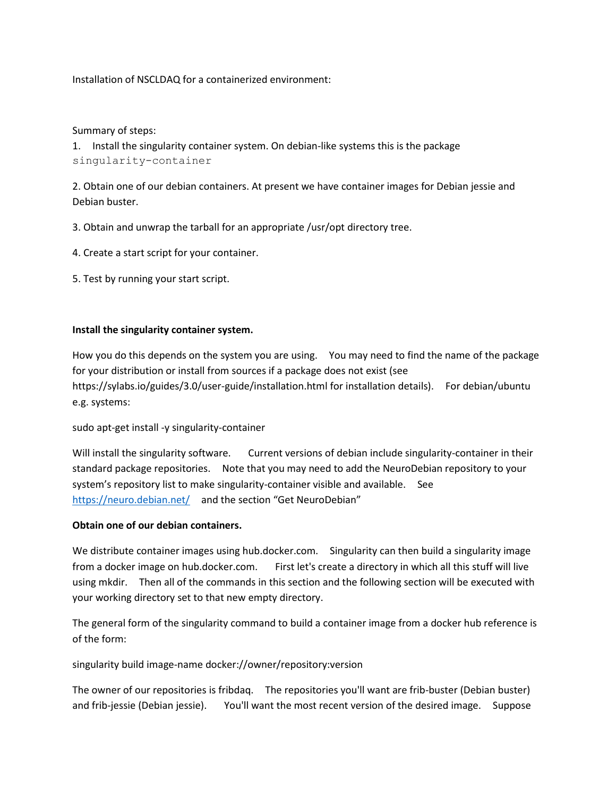Installation of NSCLDAQ for a containerized environment:

## Summary of steps:

1. Install the singularity container system. On debian-like systems this is the package singularity-container

2. Obtain one of our debian containers. At present we have container images for Debian jessie and Debian buster.

- 3. Obtain and unwrap the tarball for an appropriate /usr/opt directory tree.
- 4. Create a start script for your container.
- 5. Test by running your start script.

## **Install the singularity container system.**

How you do this depends on the system you are using. You may need to find the name of the package for your distribution or install from sources if a package does not exist (see <https://sylabs.io/guides/3.0/user-guide/installation.html> for installation details). For debian/ubuntu e.g. systems:

sudo apt-get install -y singularity-container

Will install the singularity software. Current versions of debian include singularity-container in their standard package repositories. Note that you may need to add the NeuroDebian repository to your system's repository list to make singularity-container visible and available. See <https://neuro.debian.net/>and the section "Get NeuroDebian"

### **Obtain one of our debian containers.**

We distribute container images using hub.docker.com. Singularity can then build a singularity image from a docker image on hub.docker.com. First let's create a directory in which all this stuff will live using mkdir. Then all of the commands in this section and the following section will be executed with your working directory set to that new empty directory.

The general form of the singularity command to build a container image from a docker hub reference is of the form:

singularity build image-name docker://owner/repository:version

The owner of our repositories is fribdaq. The repositories you'll want are frib-buster (Debian buster) and frib-jessie (Debian jessie). You'll want the most recent version of the desired image. Suppose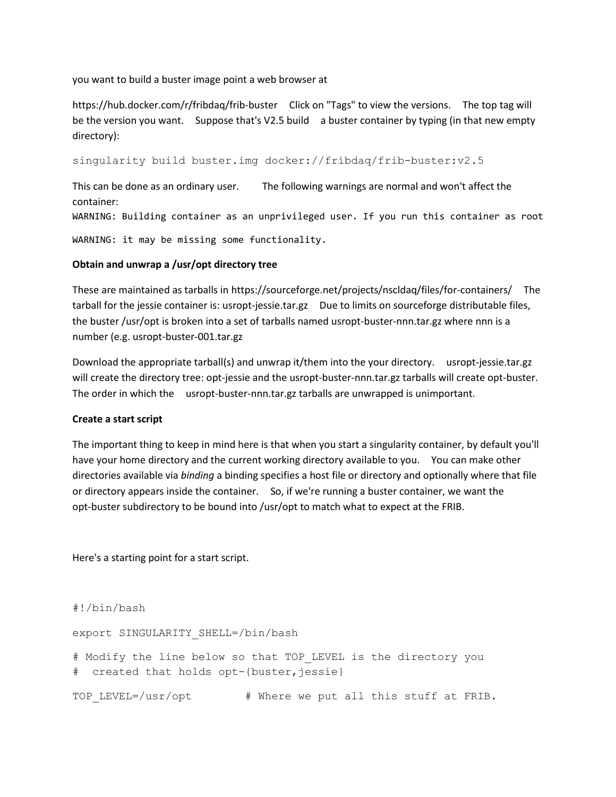you want to build a buster image point a web browser at

<https://hub.docker.com/r/fribdaq/frib-buster>Click on "Tags" to view the versions. The top tag will be the version you want. Suppose that's V2.5 build a buster container by typing (in that new empty directory):

singularity build buster.img docker://fribdaq/frib-buster:v2.5

This can be done as an ordinary user. The following warnings are normal and won't affect the container:

WARNING: Building container as an unprivileged user. If you run this container as root

WARNING: it may be missing some functionality.

#### **Obtain and unwrap a /usr/opt directory tree**

These are maintained as tarballs in<https://sourceforge.net/projects/nscldaq/files/for-containers/>The tarball for the jessie container is: usropt-jessie.tar.gz Due to limits on sourceforge distributable files, the buster /usr/opt is broken into a set of tarballs named usropt-buster-nnn.tar.gz where nnn is a number (e.g. usropt-buster-001.tar.gz

Download the appropriate tarball(s) and unwrap it/them into the your directory. usropt-jessie.tar.gz will create the directory tree: opt-jessie and the usropt-buster-nnn.tar.gz tarballs will create opt-buster. The order in which the usropt-buster-nnn.tar.gz tarballs are unwrapped is unimportant.

#### **Create a start script**

The important thing to keep in mind here is that when you start a singularity container, by default you'll have your home directory and the current working directory available to you. You can make other directories available via *binding* a binding specifies a host file or directory and optionally where that file or directory appears inside the container. So, if we're running a buster container, we want the opt-buster subdirectory to be bound into /usr/opt to match what to expect at the FRIB.

Here's a starting point for a start script.

#!/bin/bash

export SINGULARITY\_SHELL=/bin/bash

# Modify the line below so that TOP\_LEVEL is the directory you # created that holds opt-{buster, jessie}

TOP\_LEVEL=/usr/opt # Where we put all this stuff at FRIB.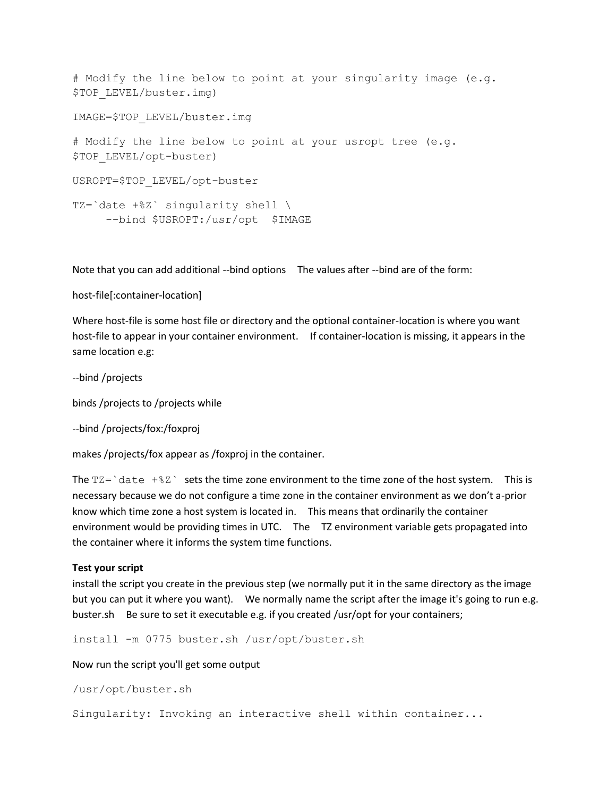```
# Modify the line below to point at your singularity image (e.g. 
$TOP LEVEL/buster.img)
IMAGE=$TOP_LEVEL/buster.img
# Modify the line below to point at your usropt tree (e.g. 
$TOP_LEVEL/opt-buster)
USROPT=$TOP_LEVEL/opt-buster
TZ=`date +%Z` singularity shell \
      --bind $USROPT:/usr/opt $IMAGE
```
Note that you can add additional --bind options The values after --bind are of the form:

#### host-file[:container-location]

Where host-file is some host file or directory and the optional container-location is where you want host-file to appear in your container environment. If container-location is missing, it appears in the same location e.g:

--bind /projects

binds /projects to /projects while

```
--bind /projects/fox:/foxproj
```
makes /projects/fox appear as /foxproj in the container.

The  $TZ='date +&Z'$  sets the time zone environment to the time zone of the host system. This is necessary because we do not configure a time zone in the container environment as we don't a-prior know which time zone a host system is located in. This means that ordinarily the container environment would be providing times in UTC. The TZ environment variable gets propagated into the container where it informs the system time functions.

### **Test your script**

install the script you create in the previous step (we normally put it in the same directory as the image but you can put it where you want). We normally name the script after the image it's going to run e.g. buster.sh Be sure to set it executable e.g. if you created /usr/opt for your containers;

install -m 0775 buster.sh /usr/opt/buster.sh

Now run the script you'll get some output

```
/usr/opt/buster.sh
```
Singularity: Invoking an interactive shell within container...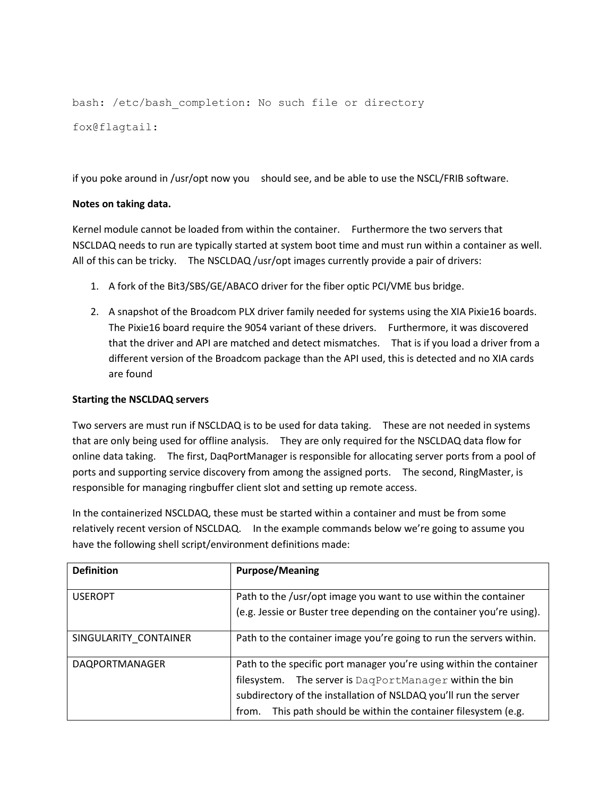bash: /etc/bash completion: No such file or directory fox@flagtail:

if you poke around in /usr/opt now you should see, and be able to use the NSCL/FRIB software.

## **Notes on taking data.**

Kernel module cannot be loaded from within the container. Furthermore the two servers that NSCLDAQ needs to run are typically started at system boot time and must run within a container as well. All of this can be tricky. The NSCLDAQ /usr/opt images currently provide a pair of drivers:

- 1. A fork of the Bit3/SBS/GE/ABACO driver for the fiber optic PCI/VME bus bridge.
- 2. A snapshot of the Broadcom PLX driver family needed for systems using the XIA Pixie16 boards. The Pixie16 board require the 9054 variant of these drivers. Furthermore, it was discovered that the driver and API are matched and detect mismatches. That is if you load a driver from a different version of the Broadcom package than the API used, this is detected and no XIA cards are found

### **Starting the NSCLDAQ servers**

Two servers are must run if NSCLDAQ is to be used for data taking. These are not needed in systems that are only being used for offline analysis. They are only required for the NSCLDAQ data flow for online data taking. The first, DaqPortManager is responsible for allocating server ports from a pool of ports and supporting service discovery from among the assigned ports. The second, RingMaster, is responsible for managing ringbuffer client slot and setting up remote access.

In the containerized NSCLDAQ, these must be started within a container and must be from some relatively recent version of NSCLDAQ. In the example commands below we're going to assume you have the following shell script/environment definitions made:

| <b>Definition</b>     | <b>Purpose/Meaning</b>                                                                                                                                                                                                                                                   |
|-----------------------|--------------------------------------------------------------------------------------------------------------------------------------------------------------------------------------------------------------------------------------------------------------------------|
| <b>USEROPT</b>        | Path to the /usr/opt image you want to use within the container<br>(e.g. Jessie or Buster tree depending on the container you're using).                                                                                                                                 |
| SINGULARITY CONTAINER | Path to the container image you're going to run the servers within.                                                                                                                                                                                                      |
| DAQPORTMANAGER        | Path to the specific port manager you're using within the container<br>filesystem. The server is DagPortManager within the bin<br>subdirectory of the installation of NSLDAQ you'll run the server<br>This path should be within the container filesystem (e.g.<br>from. |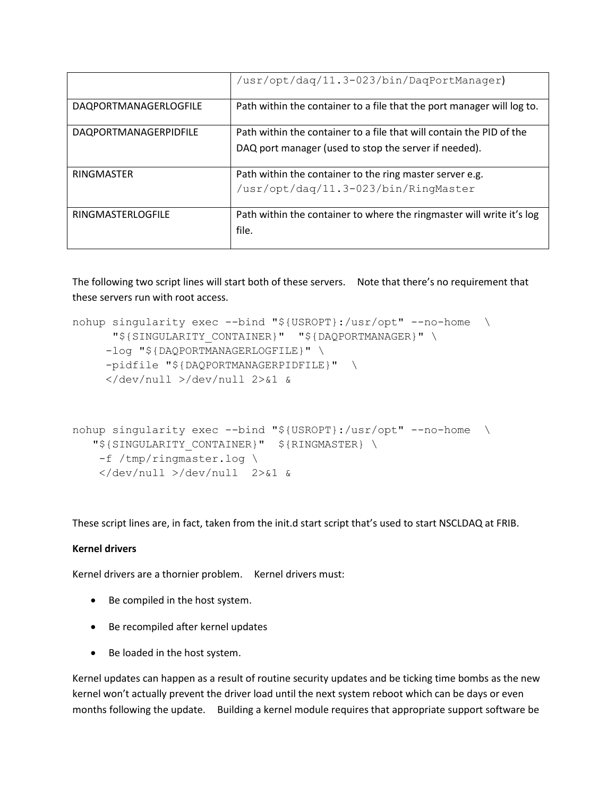|                       | /usr/opt/dag/11.3-023/bin/DagPortManager)                              |
|-----------------------|------------------------------------------------------------------------|
| DAQPORTMANAGERLOGFILE | Path within the container to a file that the port manager will log to. |
| DAQPORTMANAGERPIDFILE | Path within the container to a file that will contain the PID of the   |
|                       | DAQ port manager (used to stop the server if needed).                  |
| <b>RINGMASTER</b>     | Path within the container to the ring master server e.g.               |
|                       | /usr/opt/dag/11.3-023/bin/RingMaster                                   |
| RINGMASTERLOGFILE     | Path within the container to where the ringmaster will write it's log  |
|                       | file.                                                                  |

The following two script lines will start both of these servers. Note that there's no requirement that these servers run with root access.

```
nohup singularity exec --bind "${USROPT}:/usr/opt" --no-home \
      "${SINGULARITY_CONTAINER}" "${DAQPORTMANAGER}" \
      -log "${DAQPORTMANAGERLOGFILE}" \
      -pidfile "${DAQPORTMANAGERPIDFILE}" \
      </dev/null >/dev/null 2>&1 &
nohup singularity exec --bind "${USROPT}:/usr/opt" --no-home \
   "${SINGULARITY_CONTAINER}" ${RINGMASTER} \
     -f /tmp/ringmaster.log \
     </dev/null >/dev/null 2>&1 &
```
These script lines are, in fact, taken from the init.d start script that's used to start NSCLDAQ at FRIB.

### **Kernel drivers**

Kernel drivers are a thornier problem. Kernel drivers must:

- Be compiled in the host system.
- Be recompiled after kernel updates
- Be loaded in the host system.

Kernel updates can happen as a result of routine security updates and be ticking time bombs as the new kernel won't actually prevent the driver load until the next system reboot which can be days or even months following the update. Building a kernel module requires that appropriate support software be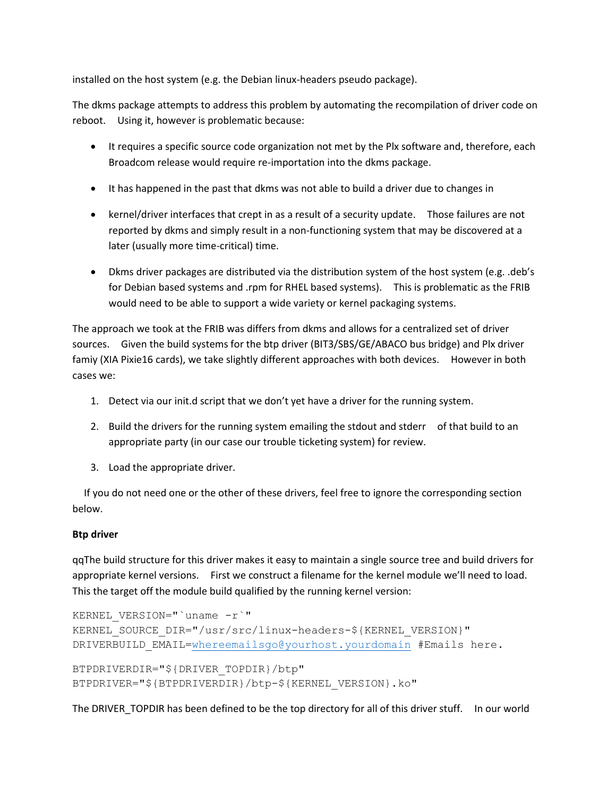installed on the host system (e.g. the Debian linux-headers pseudo package).

The dkms package attempts to address this problem by automating the recompilation of driver code on reboot. Using it, however is problematic because:

- It requires a specific source code organization not met by the Plx software and, therefore, each Broadcom release would require re-importation into the dkms package.
- It has happened in the past that dkms was not able to build a driver due to changes in
- kernel/driver interfaces that crept in as a result of a security update. Those failures are not reported by dkms and simply result in a non-functioning system that may be discovered at a later (usually more time-critical) time.
- Dkms driver packages are distributed via the distribution system of the host system (e.g. .deb's for Debian based systems and .rpm for RHEL based systems). This is problematic as the FRIB would need to be able to support a wide variety or kernel packaging systems.

The approach we took at the FRIB was differs from dkms and allows for a centralized set of driver sources. Given the build systems for the btp driver (BIT3/SBS/GE/ABACO bus bridge) and Plx driver famiy (XIA Pixie16 cards), we take slightly different approaches with both devices. However in both cases we:

- 1. Detect via our init.d script that we don't yet have a driver for the running system.
- 2. Build the drivers for the running system emailing the stdout and stderr of that build to an appropriate party (in our case our trouble ticketing system) for review.
- 3. Load the appropriate driver.

 If you do not need one or the other of these drivers, feel free to ignore the corresponding section below.

# **Btp driver**

qqThe build structure for this driver makes it easy to maintain a single source tree and build drivers for appropriate kernel versions. First we construct a filename for the kernel module we'll need to load. This the target off the module build qualified by the running kernel version:

```
KERNEL_VERSION="`uname -r`"
KERNEL SOURCE DIR="/usr/src/linux-headers-${KERNEL VERSION}"
=whereemailsgo@yourhost.yourdomain #Emails here.
BTPDRIVERDIR="${DRIVER_TOPDIR}/btp"
BTPDRIVER="${BTPDRIVERDIR}/btp-${KERNEL_VERSION}.ko"
```
The DRIVER\_TOPDIR has been defined to be the top directory for all of this driver stuff. In our world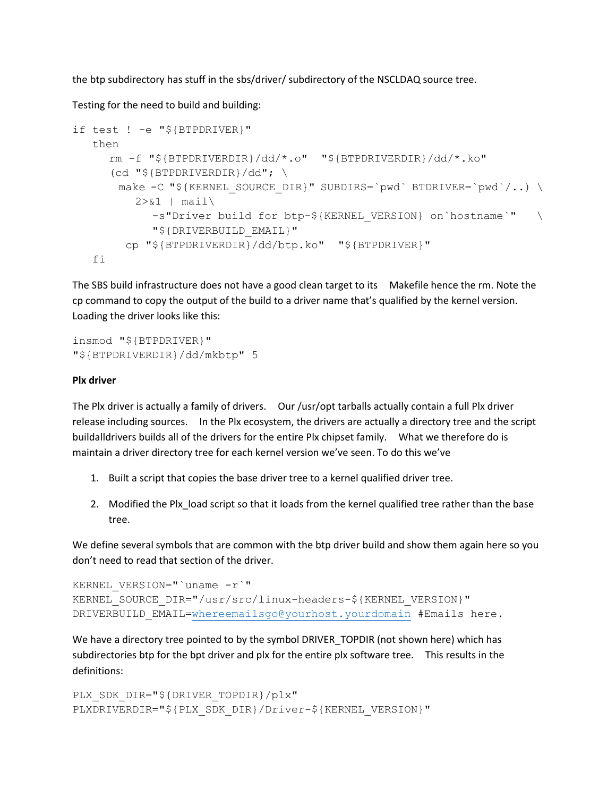the btp subdirectory has stuff in the sbs/driver/ subdirectory of the NSCLDAQ source tree.

Testing for the need to build and building:

```
if test ! -e "${BTPDRIVER}"
    then
     rm -f "${BTPDRIVERDIR}/dd/*.o" "${BTPDRIVERDIR}/dd/*.ko"
     (cd "${BTPDRIVERDIR}/dd"; \
       make -C "${KERNEL SOURCE DIR}" SUBDIRS=`pwd` BTDRIVER=`pwd`/..) \
         2 > \& 1 | mail\
            -s"Driver build for btp-${KERNEL VERSION} on`hostname`" \
             "${DRIVERBUILD_EMAIL}"
         cp "${BTPDRIVERDIR}/dd/btp.ko" "${BTPDRIVER}"
    fi
```
The SBS build infrastructure does not have a good clean target to its Makefile hence the rm. Note the cp command to copy the output of the build to a driver name that's qualified by the kernel version. Loading the driver looks like this:

```
insmod "${BTPDRIVER}"
"${BTPDRIVERDIR}/dd/mkbtp" 5
```
## **Plx driver**

The Plx driver is actually a family of drivers. Our /usr/opt tarballs actually contain a full Plx driver release including sources. In the Plx ecosystem, the drivers are actually a directory tree and the script buildalldrivers builds all of the drivers for the entire Plx chipset family. What we therefore do is maintain a driver directory tree for each kernel version we've seen. To do this we've

- 1. Built a script that copies the base driver tree to a kernel qualified driver tree.
- 2. Modified the Plx load script so that it loads from the kernel qualified tree rather than the base tree.

We define several symbols that are common with the btp driver build and show them again here so you don't need to read that section of the driver.

```
KERNEL VERSION="'uname -r'"
KERNEL SOURCE DIR="/usr/src/linux-headers-${KERNEL VERSION}"
=whereemailsgo@yourhost.yourdomain #Emails here.
```
We have a directory tree pointed to by the symbol DRIVER\_TOPDIR (not shown here) which has subdirectories btp for the bpt driver and plx for the entire plx software tree. This results in the definitions:

```
PLX_SDK_DIR="${DRIVER_TOPDIR}/plx"
PLXDRIVERDIR="${PLX_SDK_DIR}/Driver-${KERNEL_VERSION}"
```